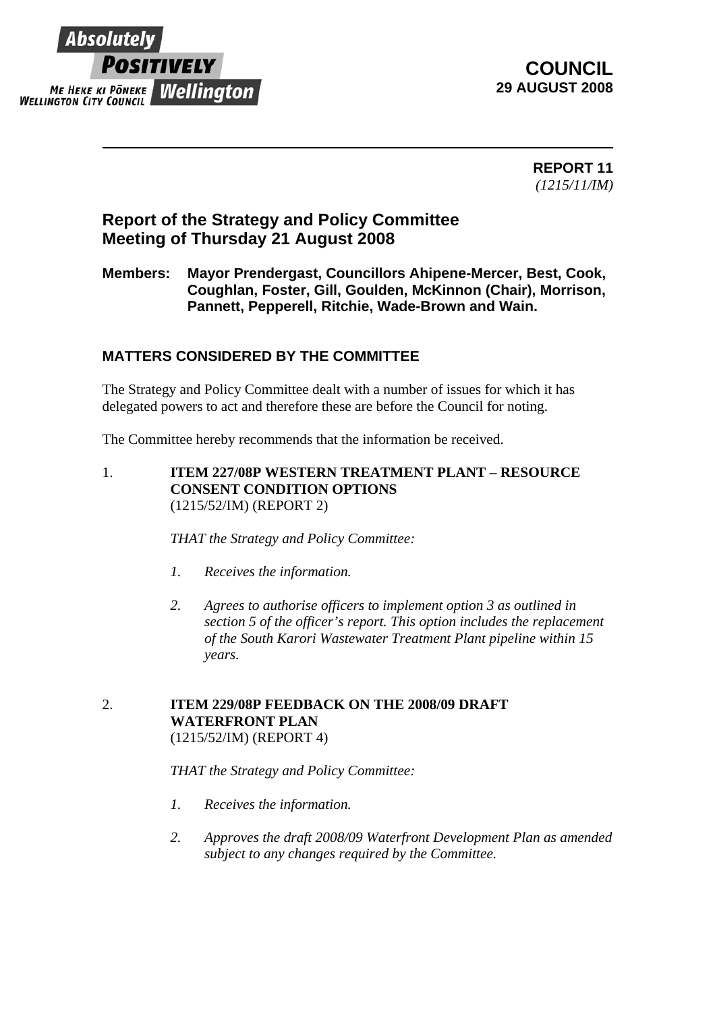

**COUNCIL 29 AUGUST 2008** 

> **REPORT 11**  *(1215/11/IM)*

# **Report of the Strategy and Policy Committee Meeting of Thursday 21 August 2008**

### **Members: Mayor Prendergast, Councillors Ahipene-Mercer, Best, Cook, Coughlan, Foster, Gill, Goulden, McKinnon (Chair), Morrison, Pannett, Pepperell, Ritchie, Wade-Brown and Wain.**

## **MATTERS CONSIDERED BY THE COMMITTEE**

The Strategy and Policy Committee dealt with a number of issues for which it has delegated powers to act and therefore these are before the Council for noting.

The Committee hereby recommends that the information be received.

1. **ITEM 227/08P WESTERN TREATMENT PLANT – RESOURCE CONSENT CONDITION OPTIONS** (1215/52/IM) (REPORT 2)

*THAT the Strategy and Policy Committee:* 

- *1. Receives the information.*
- *2. Agrees to authorise officers to implement option 3 as outlined in section 5 of the officer's report. This option includes the replacement of the South Karori Wastewater Treatment Plant pipeline within 15 years.*
- 2. **ITEM 229/08P FEEDBACK ON THE 2008/09 DRAFT WATERFRONT PLAN** (1215/52/IM) (REPORT 4)

#### *THAT the Strategy and Policy Committee:*

- *1. Receives the information.*
- *2. Approves the draft 2008/09 Waterfront Development Plan as amended subject to any changes required by the Committee.*